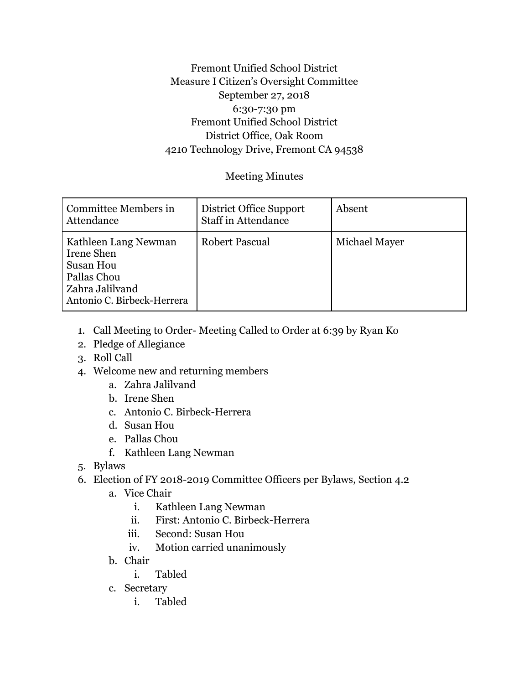## Fremont Unified School District Measure I Citizen's Oversight Committee September 27, 2018 6:30-7:30 pm Fremont Unified School District District Office, Oak Room 4210 Technology Drive, Fremont CA 94538

## Meeting Minutes

| Committee Members in<br>Attendance                                                                                       | District Office Support<br><b>Staff in Attendance</b> | Absent        |
|--------------------------------------------------------------------------------------------------------------------------|-------------------------------------------------------|---------------|
| Kathleen Lang Newman<br>Irene Shen<br><b>Susan Hou</b><br>Pallas Chou<br>  Zahra Jalilvand<br>Antonio C. Birbeck-Herrera | <b>Robert Pascual</b>                                 | Michael Mayer |

- 1. Call Meeting to Order- Meeting Called to Order at 6:39 by Ryan Ko
- 2. Pledge of Allegiance
- 3. Roll Call
- 4. Welcome new and returning members
	- a. Zahra Jalilvand
	- b. Irene Shen
	- c. Antonio C. Birbeck-Herrera
	- d. Susan Hou
	- e. Pallas Chou
	- f. Kathleen Lang Newman
- 5. Bylaws
- 6. Election of FY 2018-2019 Committee Officers per Bylaws, Section 4.2
	- a. Vice Chair
		- i. Kathleen Lang Newman
		- ii. First: Antonio C. Birbeck-Herrera
		- iii. Second: Susan Hou
		- iv. Motion carried unanimously
	- b. Chair
		- i. Tabled
	- c. Secretary
		- i. Tabled